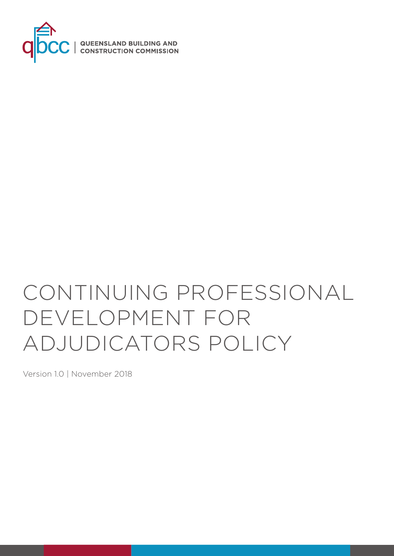

# CONTINUING PROFESSIONAL DEVELOPMENT FOR ADJUDICATORS POLICY

Version 1.0 | November 2018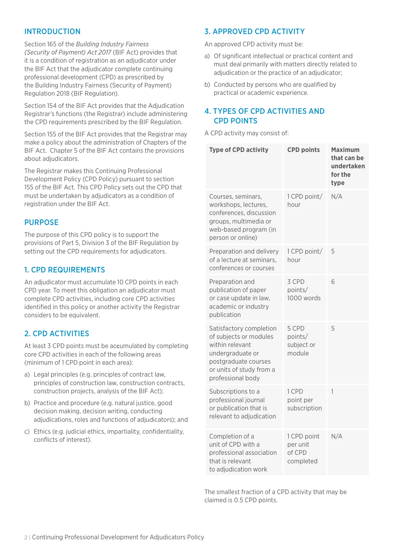## INTRODUCTION

Section 165 of the *Building Industry Fairness (Security of Payment) Act 2017* (BIF Act) provides that it is a condition of registration as an adjudicator under the BIF Act that the adjudicator complete continuing professional development (CPD) as prescribed by the Building Industry Fairness (Security of Payment) Regulation 2018 (BIF Regulation).

Section 154 of the BIF Act provides that the Adjudication Registrar's functions (the Registrar) include administering the CPD requirements prescribed by the BIF Regulation.

Section 155 of the BIF Act provides that the Registrar may make a policy about the administration of Chapters of the BIF Act. Chapter 5 of the BIF Act contains the provisions about adjudicators.

The Registrar makes this Continuing Professional Development Policy (CPD Policy) pursuant to section 155 of the BIF Act. This CPD Policy sets out the CPD that must be undertaken by adjudicators as a condition of registration under the BIF Act.

#### PURPOSE

The purpose of this CPD policy is to support the provisions of Part 5, Division 3 of the BIF Regulation by setting out the CPD requirements for adjudicators.

#### 1. CPD REQUIREMENTS

An adjudicator must accumulate 10 CPD points in each CPD year. To meet this obligation an adjudicator must complete CPD activities, including core CPD activities identified in this policy or another activity the Registrar considers to be equivalent.

### 2. CPD ACTIVITIES

At least 3 CPD points must be accumulated by completing core CPD activities in each of the following areas (minimum of 1 CPD point in each area):

- a) Legal principles (e.g. principles of contract law, principles of construction law, construction contracts, construction projects, analysis of the BIF Act);
- b) Practice and procedure (e.g. natural justice, good decision making, decision writing, conducting adjudications, roles and functions of adjudicators); and
- c) Ethics (e.g. judicial ethics, impartiality, confidentiality, conflicts of interest).

#### 3. APPROVED CPD ACTIVITY

An approved CPD activity must be:

- a) Of significant intellectual or practical content and must deal primarily with matters directly related to adjudication or the practice of an adjudicator;
- b) Conducted by persons who are qualified by practical or academic experience.

#### 4. TYPES OF CPD ACTIVITIES AND CPD POINTS

A CPD activity may consist of:

| <b>Type of CPD activity</b>                                                                                                                                       | <b>CPD points</b>                              | <b>Maximum</b><br>that can be<br>undertaken<br>for the<br>type |
|-------------------------------------------------------------------------------------------------------------------------------------------------------------------|------------------------------------------------|----------------------------------------------------------------|
| Courses, seminars,<br>workshops, lectures,<br>conferences, discussion<br>groups, multimedia or<br>web-based program (in<br>person or online)                      | 1 CPD point/<br>hour                           | N/A                                                            |
| Preparation and delivery<br>of a lecture at seminars,<br>conferences or courses                                                                                   | 1 CPD point/<br>hour                           | 5                                                              |
| Preparation and<br>publication of paper<br>or case update in law,<br>academic or industry<br>publication                                                          | 3 CPD<br>points/<br>1000 words                 | 6                                                              |
| Satisfactory completion<br>of subjects or modules<br>within relevant<br>undergraduate or<br>postgraduate courses<br>or units of study from a<br>professional body | 5 CPD<br>points/<br>subject or<br>module       | 5                                                              |
| Subscriptions to a<br>professional journal<br>or publication that is<br>relevant to adjudication                                                                  | 1 CPD<br>point per<br>subscription             | 1                                                              |
| Completion of a<br>unit of CPD with a<br>professional association<br>that is relevant<br>to adjudication work                                                     | 1 CPD point<br>per unit<br>of CPD<br>completed | N/A                                                            |

The smallest fraction of a CPD activity that may be claimed is 0.5 CPD points.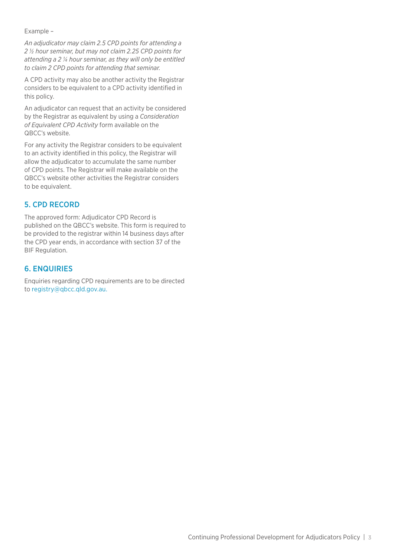Example –

*An adjudicator may claim 2.5 CPD points for attending a 2 ½ hour seminar, but may not claim 2.25 CPD points for attending a 2 ¼ hour seminar, as they will only be entitled to claim 2 CPD points for attending that seminar.*

A CPD activity may also be another activity the Registrar considers to be equivalent to a CPD activity identified in this policy.

An adjudicator can request that an activity be considered by the Registrar as equivalent by using a *Consideration of Equivalent CPD Activity* form available on the QBCC's website.

For any activity the Registrar considers to be equivalent to an activity identified in this policy, the Registrar will allow the adjudicator to accumulate the same number of CPD points. The Registrar will make available on the QBCC's website other activities the Registrar considers to be equivalent.

## 5. CPD RECORD

The approved form: Adjudicator CPD Record is published on the QBCC's website. This form is required to be provided to the registrar within 14 business days after the CPD year ends, in accordance with section 37 of the BIF Regulation.

## 6. ENQUIRIES

Enquiries regarding CPD requirements are to be directed to [registry@qbcc.qld.gov.au](mailto:adjudication.registry@qbcc.qld.gov.au).